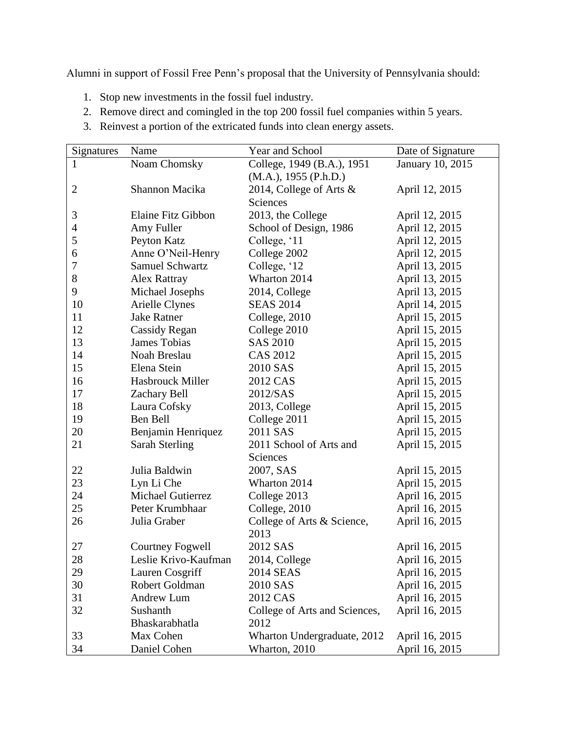Alumni in support of Fossil Free Penn's proposal that the University of Pennsylvania should:

- 1. Stop new investments in the fossil fuel industry.
- 2. Remove direct and comingled in the top 200 fossil fuel companies within 5 years.
- 3. Reinvest a portion of the extricated funds into clean energy assets.

| Signatures     | Name                   | Year and School               | Date of Signature |
|----------------|------------------------|-------------------------------|-------------------|
| 1              | Noam Chomsky           | College, 1949 (B.A.), 1951    | January 10, 2015  |
|                |                        | (M.A.), 1955 (P.h.D.)         |                   |
| $\mathbf{2}$   | Shannon Macika         | 2014, College of Arts &       | April 12, 2015    |
|                |                        | Sciences                      |                   |
| 3              | Elaine Fitz Gibbon     | 2013, the College             | April 12, 2015    |
| $\overline{4}$ | Amy Fuller             | School of Design, 1986        | April 12, 2015    |
| 5              | Peyton Katz            | College, '11                  | April 12, 2015    |
| 6              | Anne O'Neil-Henry      | College 2002                  | April 12, 2015    |
| 7              | <b>Samuel Schwartz</b> | College, '12                  | April 13, 2015    |
| 8              | Alex Rattray           | Wharton 2014                  | April 13, 2015    |
| 9              | Michael Josephs        | 2014, College                 | April 13, 2015    |
| 10             | Arielle Clynes         | <b>SEAS 2014</b>              | April 14, 2015    |
| 11             | <b>Jake Ratner</b>     | College, 2010                 | April 15, 2015    |
| 12             | Cassidy Regan          | College 2010                  | April 15, 2015    |
| 13             | <b>James Tobias</b>    | <b>SAS 2010</b>               | April 15, 2015    |
| 14             | Noah Breslau           | <b>CAS 2012</b>               | April 15, 2015    |
| 15             | Elena Stein            | 2010 SAS                      | April 15, 2015    |
| 16             | Hasbrouck Miller       | 2012 CAS                      | April 15, 2015    |
| 17             | Zachary Bell           | 2012/SAS                      | April 15, 2015    |
| 18             | Laura Cofsky           | 2013, College                 | April 15, 2015    |
| 19             | Ben Bell               | College 2011                  | April 15, 2015    |
| 20             | Benjamin Henriquez     | 2011 SAS                      | April 15, 2015    |
| 21             | <b>Sarah Sterling</b>  | 2011 School of Arts and       | April 15, 2015    |
|                |                        | Sciences                      |                   |
| 22             | Julia Baldwin          | 2007, SAS                     | April 15, 2015    |
| 23             | Lyn Li Che             | Wharton 2014                  | April 15, 2015    |
| 24             | Michael Gutierrez      | College 2013                  | April 16, 2015    |
| 25             | Peter Krumbhaar        | College, 2010                 | April 16, 2015    |
| 26             | Julia Graber           | College of Arts & Science,    | April 16, 2015    |
|                |                        | 2013                          |                   |
| 27             | Courtney Fogwell       | 2012 SAS                      | April 16, 2015    |
| 28             | Leslie Krivo-Kaufman   | 2014, College                 | April 16, 2015    |
| 29             | Lauren Cosgriff        | 2014 SEAS                     | April 16, 2015    |
| 30             | Robert Goldman         | 2010 SAS                      | April 16, 2015    |
| 31             | Andrew Lum             | 2012 CAS                      | April 16, 2015    |
| 32             | Sushanth               | College of Arts and Sciences, | April 16, 2015    |
|                | Bhaskarabhatla         | 2012                          |                   |
| 33             | Max Cohen              | Wharton Undergraduate, 2012   | April 16, 2015    |
| 34             | Daniel Cohen           | Wharton, 2010                 | April 16, 2015    |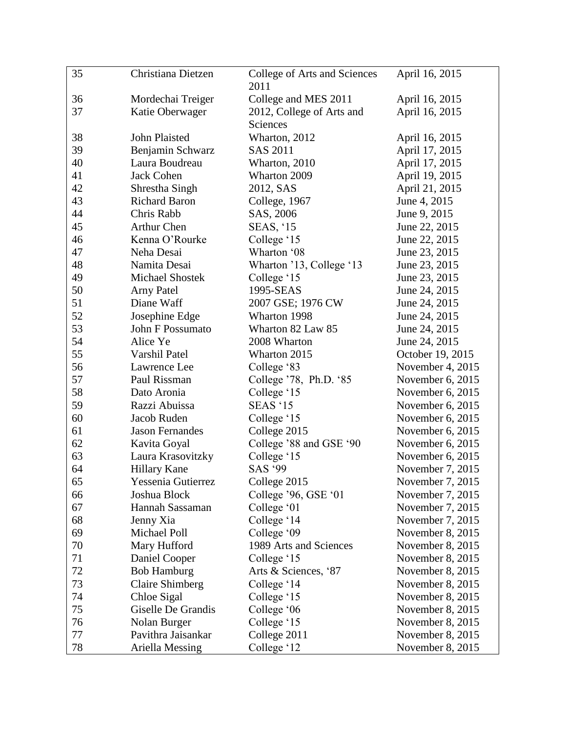| 35 | Christiana Dietzen     | College of Arts and Sciences | April 16, 2015   |
|----|------------------------|------------------------------|------------------|
|    |                        | 2011                         |                  |
| 36 | Mordechai Treiger      | College and MES 2011         | April 16, 2015   |
| 37 | Katie Oberwager        | 2012, College of Arts and    | April 16, 2015   |
|    |                        | Sciences                     |                  |
| 38 | John Plaisted          | Wharton, 2012                | April 16, 2015   |
| 39 | Benjamin Schwarz       | <b>SAS 2011</b>              | April 17, 2015   |
| 40 | Laura Boudreau         | Wharton, 2010                | April 17, 2015   |
| 41 | <b>Jack Cohen</b>      | Wharton 2009                 | April 19, 2015   |
| 42 | Shrestha Singh         | 2012, SAS                    | April 21, 2015   |
| 43 | <b>Richard Baron</b>   | College, 1967                | June 4, 2015     |
| 44 | Chris Rabb             | SAS, 2006                    | June 9, 2015     |
| 45 | <b>Arthur Chen</b>     | <b>SEAS, '15</b>             | June 22, 2015    |
| 46 | Kenna O'Rourke         | College '15                  | June 22, 2015    |
| 47 | Neha Desai             | Wharton '08                  | June 23, 2015    |
| 48 | Namita Desai           | Wharton '13, College '13     | June 23, 2015    |
| 49 | Michael Shostek        | College '15                  | June 23, 2015    |
| 50 | <b>Arny Patel</b>      | 1995-SEAS                    | June 24, 2015    |
| 51 | Diane Waff             | 2007 GSE; 1976 CW            | June 24, 2015    |
| 52 | Josephine Edge         | Wharton 1998                 | June 24, 2015    |
| 53 | John F Possumato       | Wharton 82 Law 85            | June 24, 2015    |
| 54 | Alice Ye               | 2008 Wharton                 | June 24, 2015    |
| 55 | Varshil Patel          | Wharton 2015                 | October 19, 2015 |
| 56 | Lawrence Lee           | College '83                  | November 4, 2015 |
| 57 | Paul Rissman           | College '78, Ph.D. '85       | November 6, 2015 |
| 58 | Dato Aronia            | College '15                  | November 6, 2015 |
| 59 | Razzi Abuissa          | <b>SEAS</b> '15              | November 6, 2015 |
| 60 | Jacob Ruden            | College '15                  | November 6, 2015 |
| 61 | <b>Jason Fernandes</b> | College 2015                 | November 6, 2015 |
| 62 | Kavita Goyal           | College '88 and GSE '90      | November 6, 2015 |
| 63 | Laura Krasovitzky      | College '15                  | November 6, 2015 |
| 64 | <b>Hillary Kane</b>    | SAS '99                      | November 7, 2015 |
| 65 | Yessenia Gutierrez     | College 2015                 | November 7, 2015 |
| 66 | Joshua Block           | College '96, GSE '01         | November 7, 2015 |
| 67 | Hannah Sassaman        | College '01                  | November 7, 2015 |
| 68 | Jenny Xia              | College '14                  | November 7, 2015 |
| 69 | Michael Poll           | College '09                  | November 8, 2015 |
| 70 | Mary Hufford           | 1989 Arts and Sciences       | November 8, 2015 |
| 71 | Daniel Cooper          | College '15                  | November 8, 2015 |
| 72 | <b>Bob Hamburg</b>     | Arts & Sciences, '87         | November 8, 2015 |
| 73 | <b>Claire Shimberg</b> | College '14                  | November 8, 2015 |
| 74 | Chloe Sigal            | College '15                  | November 8, 2015 |
| 75 | Giselle De Grandis     | College '06                  | November 8, 2015 |
| 76 | Nolan Burger           | College '15                  | November 8, 2015 |
| 77 | Pavithra Jaisankar     | College 2011                 | November 8, 2015 |
| 78 | Ariella Messing        | College '12                  | November 8, 2015 |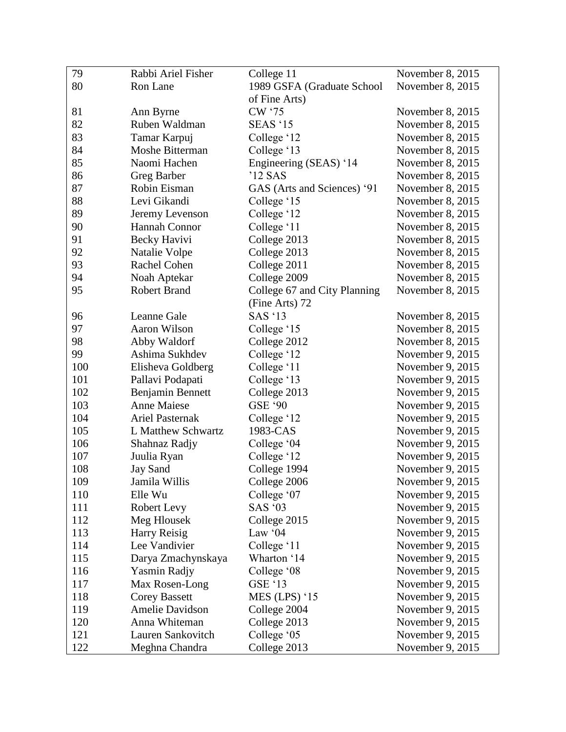| 79  | Rabbi Ariel Fisher     | College 11                   | November 8, 2015 |
|-----|------------------------|------------------------------|------------------|
| 80  | Ron Lane               | 1989 GSFA (Graduate School   | November 8, 2015 |
|     |                        | of Fine Arts)                |                  |
| 81  | Ann Byrne              | CW '75                       | November 8, 2015 |
| 82  | Ruben Waldman          | <b>SEAS</b> '15              | November 8, 2015 |
| 83  | Tamar Karpuj           | College '12                  | November 8, 2015 |
| 84  | Moshe Bitterman        | College '13                  | November 8, 2015 |
| 85  | Naomi Hachen           | Engineering (SEAS) '14       | November 8, 2015 |
| 86  | Greg Barber            | '12 SAS                      | November 8, 2015 |
| 87  | Robin Eisman           | GAS (Arts and Sciences) '91  | November 8, 2015 |
| 88  | Levi Gikandi           | College '15                  | November 8, 2015 |
| 89  | Jeremy Levenson        | College '12                  | November 8, 2015 |
| 90  | Hannah Connor          | College '11                  | November 8, 2015 |
| 91  | Becky Havivi           | College 2013                 | November 8, 2015 |
| 92  | Natalie Volpe          | College 2013                 | November 8, 2015 |
| 93  | Rachel Cohen           | College 2011                 | November 8, 2015 |
| 94  | Noah Aptekar           | College 2009                 | November 8, 2015 |
| 95  | <b>Robert Brand</b>    | College 67 and City Planning | November 8, 2015 |
|     |                        | (Fine Arts) 72               |                  |
| 96  | Leanne Gale            | SAS $'13$                    | November 8, 2015 |
| 97  | Aaron Wilson           | College '15                  | November 8, 2015 |
| 98  | Abby Waldorf           | College 2012                 | November 8, 2015 |
| 99  | Ashima Sukhdev         | College '12                  | November 9, 2015 |
| 100 | Elisheva Goldberg      | College '11                  | November 9, 2015 |
| 101 | Pallavi Podapati       | College '13                  | November 9, 2015 |
| 102 | Benjamin Bennett       | College 2013                 | November 9, 2015 |
| 103 | <b>Anne Maiese</b>     | <b>GSE '90</b>               | November 9, 2015 |
| 104 | <b>Ariel Pasternak</b> | College '12                  | November 9, 2015 |
| 105 | L Matthew Schwartz     | 1983-CAS                     | November 9, 2015 |
| 106 | Shahnaz Radjy          | College '04                  | November 9, 2015 |
| 107 | Juulia Ryan            | College '12                  | November 9, 2015 |
| 108 | <b>Jay Sand</b>        | College 1994                 | November 9, 2015 |
| 109 | Jamila Willis          | College 2006                 | November 9, 2015 |
| 110 | Elle Wu                | College '07                  | November 9, 2015 |
| 111 | Robert Levy            | <b>SAS '03</b>               | November 9, 2015 |
| 112 | Meg Hlousek            | College 2015                 | November 9, 2015 |
| 113 | <b>Harry Reisig</b>    | Law '04                      | November 9, 2015 |
| 114 | Lee Vandivier          | College '11                  | November 9, 2015 |
| 115 | Darya Zmachynskaya     | Wharton '14                  | November 9, 2015 |
| 116 | <b>Yasmin Radjy</b>    | College '08                  | November 9, 2015 |
| 117 | Max Rosen-Long         | <b>GSE '13</b>               | November 9, 2015 |
| 118 | <b>Corey Bassett</b>   | $MES$ (LPS) '15              | November 9, 2015 |
| 119 | Amelie Davidson        | College 2004                 | November 9, 2015 |
| 120 | Anna Whiteman          | College 2013                 | November 9, 2015 |
| 121 | Lauren Sankovitch      | College '05                  | November 9, 2015 |
| 122 | Meghna Chandra         | College 2013                 | November 9, 2015 |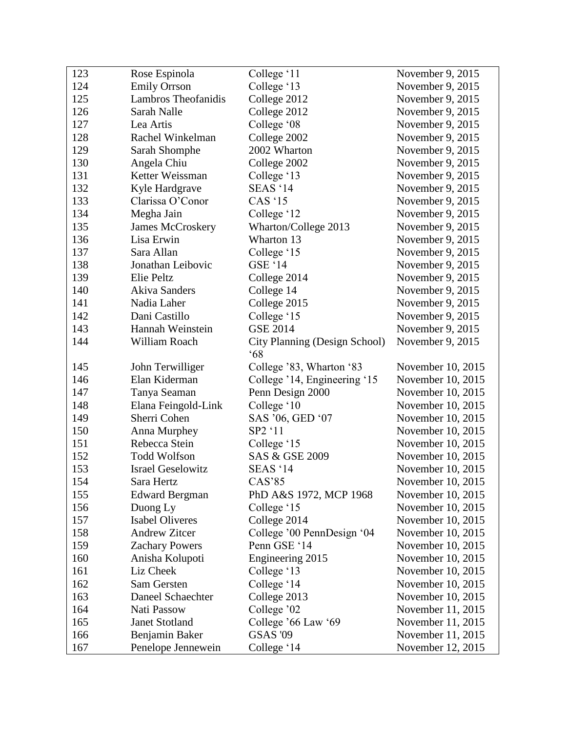| 123 | Rose Espinola              | College '11                   | November 9, 2015  |
|-----|----------------------------|-------------------------------|-------------------|
| 124 | <b>Emily Orrson</b>        | College '13                   | November 9, 2015  |
| 125 | <b>Lambros Theofanidis</b> | College 2012                  | November 9, 2015  |
| 126 | Sarah Nalle                | College 2012                  | November 9, 2015  |
| 127 | Lea Artis                  | College '08                   | November 9, 2015  |
| 128 | Rachel Winkelman           | College 2002                  | November 9, 2015  |
| 129 | Sarah Shomphe              | 2002 Wharton                  | November 9, 2015  |
| 130 | Angela Chiu                | College 2002                  | November 9, 2015  |
| 131 | Ketter Weissman            | College '13                   | November 9, 2015  |
| 132 | Kyle Hardgrave             | SEAS '14                      | November 9, 2015  |
| 133 | Clarissa O'Conor           | <b>CAS</b> '15                | November 9, 2015  |
| 134 | Megha Jain                 | College '12                   | November 9, 2015  |
| 135 | <b>James McCroskery</b>    | Wharton/College 2013          | November 9, 2015  |
| 136 | Lisa Erwin                 | Wharton 13                    | November 9, 2015  |
| 137 | Sara Allan                 | College '15                   | November 9, 2015  |
| 138 | Jonathan Leibovic          | GSE '14                       | November 9, 2015  |
| 139 | Elie Peltz                 | College 2014                  | November 9, 2015  |
| 140 | <b>Akiva Sanders</b>       | College 14                    | November 9, 2015  |
| 141 | Nadia Laher                | College 2015                  | November 9, 2015  |
| 142 | Dani Castillo              | College '15                   | November 9, 2015  |
| 143 | Hannah Weinstein           | <b>GSE 2014</b>               | November 9, 2015  |
| 144 | William Roach              | City Planning (Design School) | November 9, 2015  |
|     |                            | $68^\circ$                    |                   |
| 145 | John Terwilliger           | College '83, Wharton '83      | November 10, 2015 |
| 146 | Elan Kiderman              | College '14, Engineering '15  | November 10, 2015 |
| 147 | Tanya Seaman               | Penn Design 2000              | November 10, 2015 |
| 148 | Elana Feingold-Link        | College '10                   | November 10, 2015 |
| 149 | Sherri Cohen               | SAS '06, GED '07              | November 10, 2015 |
| 150 | Anna Murphey               | SP2 '11                       | November 10, 2015 |
| 151 | Rebecca Stein              | College '15                   | November 10, 2015 |
| 152 | <b>Todd Wolfson</b>        | SAS & GSE 2009                | November 10, 2015 |
| 153 | <b>Israel Geselowitz</b>   | SEAS '14                      | November 10, 2015 |
| 154 | Sara Hertz                 | CAS'85                        | November 10, 2015 |
| 155 | <b>Edward Bergman</b>      | PhD A&S 1972, MCP 1968        | November 10, 2015 |
| 156 | Duong Ly                   | College '15                   | November 10, 2015 |
| 157 | <b>Isabel Oliveres</b>     | College 2014                  | November 10, 2015 |
| 158 | <b>Andrew Zitcer</b>       | College '00 PennDesign '04    | November 10, 2015 |
| 159 | <b>Zachary Powers</b>      | Penn GSE '14                  | November 10, 2015 |
| 160 | Anisha Kolupoti            | Engineering 2015              | November 10, 2015 |
| 161 | Liz Cheek                  | College '13                   | November 10, 2015 |
| 162 | Sam Gersten                | College '14                   | November 10, 2015 |
| 163 | Daneel Schaechter          | College 2013                  | November 10, 2015 |
| 164 | Nati Passow                | College '02                   | November 11, 2015 |
| 165 | <b>Janet Stotland</b>      | College '66 Law '69           | November 11, 2015 |
| 166 | Benjamin Baker             | <b>GSAS '09</b>               | November 11, 2015 |
| 167 | Penelope Jennewein         | College '14                   | November 12, 2015 |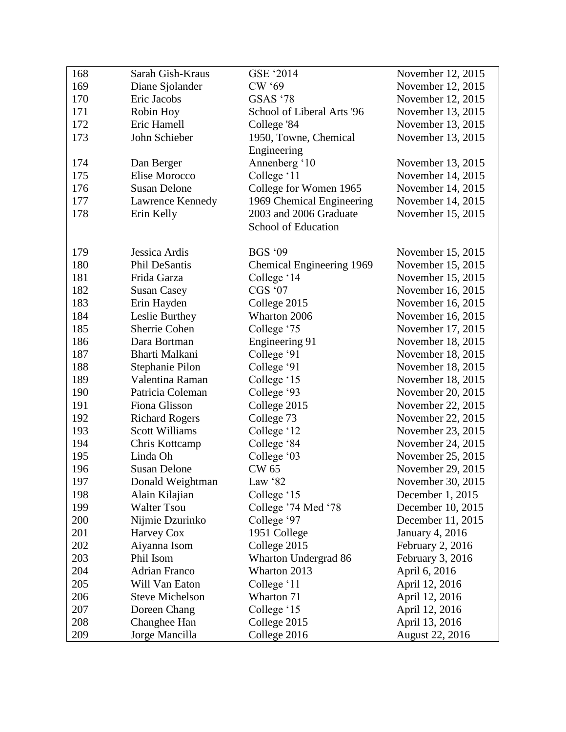| 168 | Sarah Gish-Kraus       | GSE '2014                  | November 12, 2015      |
|-----|------------------------|----------------------------|------------------------|
| 169 | Diane Sjolander        | <b>CW '69</b>              | November 12, 2015      |
| 170 | Eric Jacobs            | <b>GSAS '78</b>            | November 12, 2015      |
| 171 | Robin Hoy              | School of Liberal Arts '96 | November 13, 2015      |
| 172 | Eric Hamell            | College '84                | November 13, 2015      |
| 173 | John Schieber          | 1950, Towne, Chemical      | November 13, 2015      |
|     |                        | Engineering                |                        |
| 174 | Dan Berger             | Annenberg '10              | November 13, 2015      |
| 175 | Elise Morocco          | College '11                | November 14, 2015      |
| 176 | <b>Susan Delone</b>    | College for Women 1965     | November 14, 2015      |
| 177 | Lawrence Kennedy       | 1969 Chemical Engineering  | November 14, 2015      |
| 178 | Erin Kelly             | 2003 and 2006 Graduate     | November 15, 2015      |
|     |                        | School of Education        |                        |
|     |                        |                            |                        |
| 179 | Jessica Ardis          | <b>BGS '09</b>             | November 15, 2015      |
| 180 | Phil DeSantis          | Chemical Engineering 1969  | November 15, 2015      |
| 181 | Frida Garza            | College '14                | November 15, 2015      |
| 182 | <b>Susan Casey</b>     | CGS '07                    | November 16, 2015      |
| 183 | Erin Hayden            | College 2015               | November 16, 2015      |
| 184 | Leslie Burthey         | Wharton 2006               | November 16, 2015      |
| 185 | Sherrie Cohen          | College '75                | November 17, 2015      |
| 186 | Dara Bortman           | Engineering 91             | November 18, 2015      |
| 187 | Bharti Malkani         | College '91                | November 18, 2015      |
| 188 | Stephanie Pilon        | College '91                | November 18, 2015      |
| 189 | Valentina Raman        | College '15                | November 18, 2015      |
| 190 | Patricia Coleman       | College '93                | November 20, 2015      |
| 191 | Fiona Glisson          | College 2015               | November 22, 2015      |
| 192 | <b>Richard Rogers</b>  | College 73                 | November 22, 2015      |
| 193 | <b>Scott Williams</b>  | College '12                | November 23, 2015      |
| 194 | Chris Kottcamp         | College '84                | November 24, 2015      |
| 195 | Linda Oh               | College '03                | November 25, 2015      |
| 196 | <b>Susan Delone</b>    | <b>CW 65</b>               | November 29, 2015      |
| 197 | Donald Weightman       | Law '82                    | November 30, 2015      |
| 198 | Alain Kilajian         | College '15                | December 1, 2015       |
| 199 | <b>Walter Tsou</b>     | College '74 Med '78        | December 10, 2015      |
| 200 | Nijmie Dzurinko        | College '97                | December 11, 2015      |
| 201 | Harvey Cox             | 1951 College               | January 4, 2016        |
| 202 | Aiyanna Isom           | College 2015               | February 2, 2016       |
| 203 | Phil Isom              | Wharton Undergrad 86       | February 3, 2016       |
| 204 | Adrian Franco          | Wharton 2013               | April 6, 2016          |
| 205 | Will Van Eaton         | College '11                | April 12, 2016         |
| 206 | <b>Steve Michelson</b> | Wharton 71                 | April 12, 2016         |
| 207 | Doreen Chang           | College '15                | April 12, 2016         |
| 208 | Changhee Han           | College 2015               | April 13, 2016         |
| 209 | Jorge Mancilla         | College 2016               | <b>August 22, 2016</b> |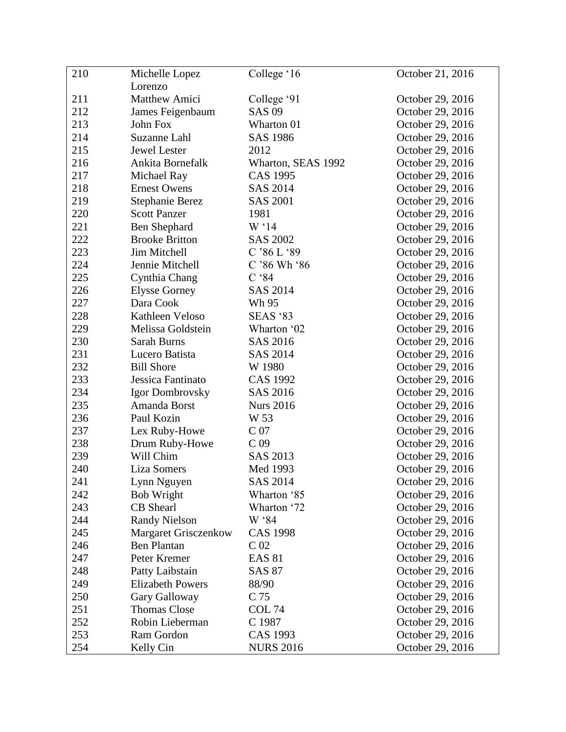| 210 | Michelle Lopez              | College '16        | October 21, 2016 |
|-----|-----------------------------|--------------------|------------------|
|     | Lorenzo                     |                    |                  |
| 211 | <b>Matthew Amici</b>        | College '91        | October 29, 2016 |
| 212 | James Feigenbaum            | <b>SAS 09</b>      | October 29, 2016 |
| 213 | John Fox                    | Wharton 01         | October 29, 2016 |
| 214 | Suzanne Lahl                | <b>SAS 1986</b>    | October 29, 2016 |
| 215 | Jewel Lester                | 2012               | October 29, 2016 |
| 216 | Ankita Bornefalk            | Wharton, SEAS 1992 | October 29, 2016 |
| 217 | Michael Ray                 | <b>CAS 1995</b>    | October 29, 2016 |
| 218 | <b>Ernest Owens</b>         | SAS 2014           | October 29, 2016 |
| 219 | Stephanie Berez             | <b>SAS 2001</b>    | October 29, 2016 |
| 220 | <b>Scott Panzer</b>         | 1981               | October 29, 2016 |
| 221 | Ben Shephard                | W <sup>14</sup>    | October 29, 2016 |
| 222 | <b>Brooke Britton</b>       | <b>SAS 2002</b>    | October 29, 2016 |
| 223 | Jim Mitchell                | C'86L'89           | October 29, 2016 |
| 224 | Jennie Mitchell             | $C$ '86 Wh '86     | October 29, 2016 |
| 225 | Cynthia Chang               | $C$ '84            | October 29, 2016 |
| 226 | <b>Elysse Gorney</b>        | <b>SAS 2014</b>    | October 29, 2016 |
| 227 | Dara Cook                   | Wh 95              | October 29, 2016 |
| 228 | Kathleen Veloso             | <b>SEAS '83</b>    | October 29, 2016 |
| 229 | Melissa Goldstein           | Wharton '02        | October 29, 2016 |
| 230 | Sarah Burns                 | SAS 2016           | October 29, 2016 |
| 231 | Lucero Batista              | <b>SAS 2014</b>    | October 29, 2016 |
| 232 | <b>Bill Shore</b>           | W 1980             | October 29, 2016 |
| 233 | Jessica Fantinato           | <b>CAS 1992</b>    | October 29, 2016 |
| 234 | Igor Dombrovsky             | SAS 2016           | October 29, 2016 |
| 235 | Amanda Borst                | <b>Nurs 2016</b>   | October 29, 2016 |
| 236 | Paul Kozin                  | W 53               | October 29, 2016 |
| 237 | Lex Ruby-Howe               | C <sub>07</sub>    | October 29, 2016 |
| 238 | Drum Ruby-Howe              | C <sub>09</sub>    | October 29, 2016 |
| 239 | Will Chim                   | SAS 2013           | October 29, 2016 |
| 240 | <b>Liza Somers</b>          | Med 1993           | October 29, 2016 |
| 241 | Lynn Nguyen                 | SAS 2014           | October 29, 2016 |
| 242 | Bob Wright                  | Wharton '85        | October 29, 2016 |
| 243 | CB Shearl                   | Wharton '72        | October 29, 2016 |
| 244 | <b>Randy Nielson</b>        | W '84              | October 29, 2016 |
| 245 | <b>Margaret Grisczenkow</b> | <b>CAS 1998</b>    | October 29, 2016 |
| 246 | <b>Ben Plantan</b>          | C <sub>02</sub>    | October 29, 2016 |
| 247 | Peter Kremer                | <b>EAS 81</b>      | October 29, 2016 |
| 248 | Patty Laibstain             | <b>SAS 87</b>      | October 29, 2016 |
| 249 | <b>Elizabeth Powers</b>     | 88/90              | October 29, 2016 |
| 250 | Gary Galloway               | C 75               | October 29, 2016 |
| 251 | <b>Thomas Close</b>         | COL <sub>74</sub>  | October 29, 2016 |
| 252 | Robin Lieberman             | C 1987             | October 29, 2016 |
| 253 | Ram Gordon                  | <b>CAS 1993</b>    | October 29, 2016 |
| 254 | Kelly Cin                   | <b>NURS 2016</b>   | October 29, 2016 |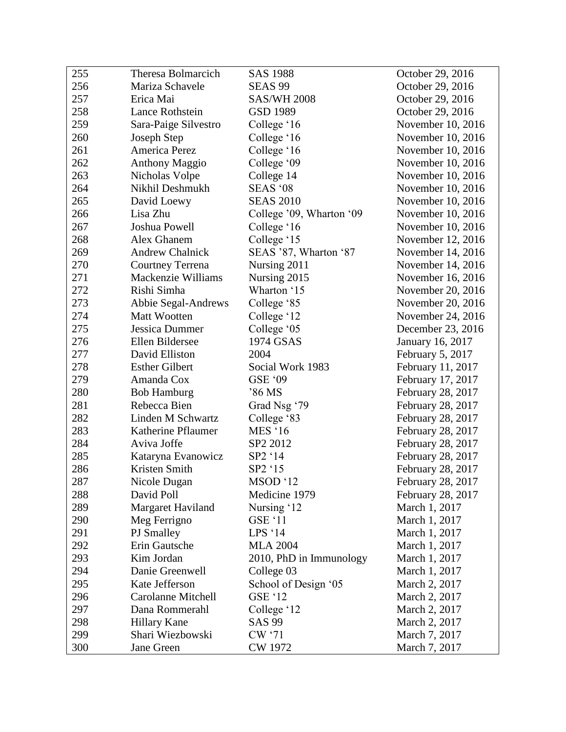| 255 | Theresa Bolmarcich        | <b>SAS 1988</b>          | October 29, 2016  |
|-----|---------------------------|--------------------------|-------------------|
| 256 | Mariza Schavele           | <b>SEAS 99</b>           | October 29, 2016  |
| 257 | Erica Mai                 | <b>SAS/WH 2008</b>       | October 29, 2016  |
| 258 | Lance Rothstein           | GSD 1989                 | October 29, 2016  |
| 259 | Sara-Paige Silvestro      | College '16              | November 10, 2016 |
| 260 | Joseph Step               | College '16              | November 10, 2016 |
| 261 | America Perez             | College '16              | November 10, 2016 |
| 262 | <b>Anthony Maggio</b>     | College '09              | November 10, 2016 |
| 263 | Nicholas Volpe            | College 14               | November 10, 2016 |
| 264 | Nikhil Deshmukh           | SEAS '08                 | November 10, 2016 |
| 265 | David Loewy               | <b>SEAS 2010</b>         | November 10, 2016 |
| 266 | Lisa Zhu                  | College '09, Wharton '09 | November 10, 2016 |
| 267 | Joshua Powell             | College '16              | November 10, 2016 |
| 268 | Alex Ghanem               | College '15              | November 12, 2016 |
| 269 | <b>Andrew Chalnick</b>    | SEAS '87, Wharton '87    | November 14, 2016 |
| 270 | <b>Courtney Terrena</b>   | Nursing 2011             | November 14, 2016 |
| 271 | Mackenzie Williams        | Nursing 2015             | November 16, 2016 |
| 272 | Rishi Simha               | Wharton '15              | November 20, 2016 |
| 273 | Abbie Segal-Andrews       | College '85              | November 20, 2016 |
| 274 | <b>Matt Wootten</b>       | College '12              | November 24, 2016 |
| 275 | Jessica Dummer            | College '05              | December 23, 2016 |
| 276 | Ellen Bildersee           | 1974 GSAS                | January 16, 2017  |
| 277 | David Elliston            | 2004                     | February 5, 2017  |
| 278 | <b>Esther Gilbert</b>     | Social Work 1983         | February 11, 2017 |
| 279 | Amanda Cox                | GSE '09                  | February 17, 2017 |
| 280 | <b>Bob Hamburg</b>        | '86 MS                   | February 28, 2017 |
| 281 | Rebecca Bien              | Grad Nsg '79             | February 28, 2017 |
| 282 | Linden M Schwartz         | College '83              | February 28, 2017 |
| 283 | Katherine Pflaumer        | <b>MES</b> '16           | February 28, 2017 |
| 284 | Aviva Joffe               | SP2 2012                 | February 28, 2017 |
| 285 | Kataryna Evanowicz        | SP2 '14                  | February 28, 2017 |
| 286 | Kristen Smith             | SP2 '15                  | February 28, 2017 |
| 287 | Nicole Dugan              | MSOD '12                 | February 28, 2017 |
| 288 | David Poll                | Medicine 1979            | February 28, 2017 |
| 289 | Margaret Haviland         | Nursing '12              | March 1, 2017     |
| 290 | Meg Ferrigno              | <b>GSE '11</b>           | March 1, 2017     |
| 291 | PJ Smalley                | LPS '14                  | March 1, 2017     |
| 292 | Erin Gautsche             | <b>MLA 2004</b>          | March 1, 2017     |
| 293 | Kim Jordan                | 2010, PhD in Immunology  | March 1, 2017     |
| 294 | Danie Greenwell           | College 03               | March 1, 2017     |
| 295 | Kate Jefferson            | School of Design '05     | March 2, 2017     |
| 296 | <b>Carolanne Mitchell</b> | <b>GSE '12</b>           | March 2, 2017     |
| 297 | Dana Rommerahl            | College '12              | March 2, 2017     |
| 298 | <b>Hillary Kane</b>       | <b>SAS 99</b>            | March 2, 2017     |
| 299 | Shari Wiezbowski          | CW '71                   | March 7, 2017     |
| 300 | Jane Green                | CW 1972                  | March 7, 2017     |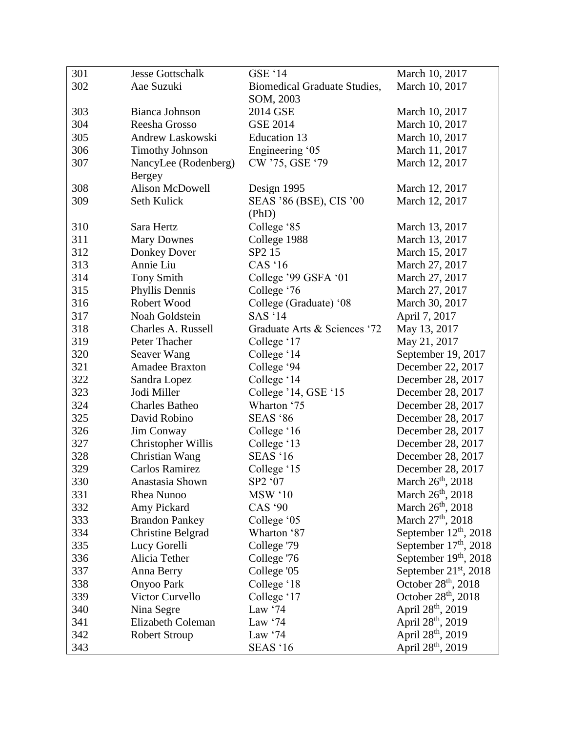| 301 | <b>Jesse Gottschalk</b>  | <b>GSE '14</b>                      | March 10, 2017                  |
|-----|--------------------------|-------------------------------------|---------------------------------|
| 302 | Aae Suzuki               | <b>Biomedical Graduate Studies,</b> | March 10, 2017                  |
|     |                          | SOM, 2003                           |                                 |
| 303 | Bianca Johnson           | 2014 GSE                            | March 10, 2017                  |
| 304 | Reesha Grosso            | <b>GSE 2014</b>                     | March 10, 2017                  |
| 305 | Andrew Laskowski         | <b>Education 13</b>                 | March 10, 2017                  |
| 306 | <b>Timothy Johnson</b>   | Engineering '05                     | March 11, 2017                  |
| 307 | NancyLee (Rodenberg)     | CW '75, GSE '79                     | March 12, 2017                  |
|     | <b>Bergey</b>            |                                     |                                 |
| 308 | <b>Alison McDowell</b>   | Design 1995                         | March 12, 2017                  |
| 309 | Seth Kulick              | SEAS '86 (BSE), CIS '00             | March 12, 2017                  |
|     |                          | (PhD)                               |                                 |
| 310 | Sara Hertz               | College '85                         | March 13, 2017                  |
| 311 | <b>Mary Downes</b>       | College 1988                        | March 13, 2017                  |
| 312 | Donkey Dover             | SP <sub>2</sub> 15                  | March 15, 2017                  |
| 313 | Annie Liu                | CAS $16$                            | March 27, 2017                  |
| 314 | <b>Tony Smith</b>        | College '99 GSFA '01                | March 27, 2017                  |
| 315 | Phyllis Dennis           | College '76                         | March 27, 2017                  |
| 316 | Robert Wood              | College (Graduate) '08              | March 30, 2017                  |
| 317 | Noah Goldstein           | <b>SAS '14</b>                      | April 7, 2017                   |
| 318 | Charles A. Russell       | Graduate Arts & Sciences '72        | May 13, 2017                    |
| 319 | Peter Thacher            | College '17                         | May 21, 2017                    |
| 320 | Seaver Wang              | College '14                         | September 19, 2017              |
| 321 | Amadee Braxton           | College '94                         | December 22, 2017               |
| 322 | Sandra Lopez             | College '14                         | December 28, 2017               |
| 323 | Jodi Miller              | College '14, GSE '15                | December 28, 2017               |
| 324 | <b>Charles Batheo</b>    | Wharton '75                         | December 28, 2017               |
| 325 | David Robino             | <b>SEAS</b> '86                     | December 28, 2017               |
| 326 | Jim Conway               | College '16                         | December 28, 2017               |
| 327 | Christopher Willis       | College '13                         | December 28, 2017               |
| 328 | Christian Wang           | <b>SEAS</b> '16                     | December 28, 2017               |
| 329 | Carlos Ramirez           | College '15                         | December 28, 2017               |
| 330 | Anastasia Shown          | SP2 '07                             | March 26 <sup>th</sup> , 2018   |
| 331 | Rhea Nunoo               | <b>MSW</b> '10                      | March 26 <sup>th</sup> , 2018   |
| 332 | Amy Pickard              | <b>CAS</b> '90                      | March $26th$ , 2018             |
| 333 | <b>Brandon Pankey</b>    | College '05                         | March 27 <sup>th</sup> , 2018   |
| 334 | <b>Christine Belgrad</b> | Wharton '87                         | September $12th$ , 2018         |
| 335 | Lucy Gorelli             | College '79                         | September $17th$ , 2018         |
| 336 | Alicia Tether            | College '76                         | September 19th, 2018            |
| 337 | Anna Berry               | College '05                         | September $21st$ , 2018         |
| 338 | <b>Onyoo Park</b>        | College '18                         | October $28th$ , 2018           |
| 339 | Victor Curvello          | College '17                         | October 28 <sup>th</sup> , 2018 |
| 340 | Nina Segre               | Law $\cdot$ 74                      | April 28 <sup>th</sup> , 2019   |
| 341 | <b>Elizabeth Coleman</b> | Law $\cdot$ 74                      | April 28 <sup>th</sup> , 2019   |
| 342 | <b>Robert Stroup</b>     | Law $\cdot$ 74                      | April 28 <sup>th</sup> , 2019   |
| 343 |                          | <b>SEAS</b> '16                     | April 28 <sup>th</sup> , 2019   |